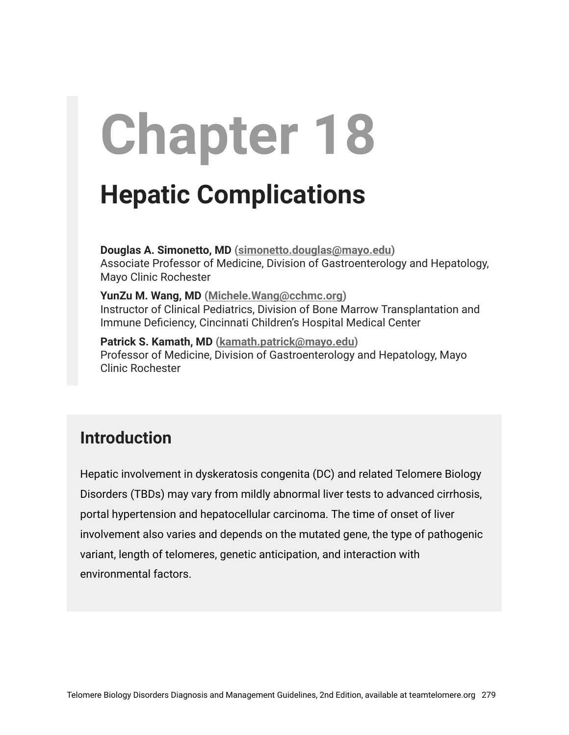# **Chapter 18**

# **Hepatic Complications**

**Douglas A. Simonetto, MD [\(simonetto.douglas@mayo.edu](mailto:simonetto.douglas@mayo.edu))** Associate Professor of Medicine, Division of Gastroenterology and Hepatology, Mayo Clinic Rochester

**YunZu M. Wang, MD [\(Michele.Wang@cchmc.org\)](mailto:Michele.Wang@cchmc.org)** Instructor of Clinical Pediatrics, Division of Bone Marrow Transplantation and Immune Deficiency, Cincinnati Children's Hospital Medical Center

**Patrick S. Kamath, MD [\(kamath.patrick@mayo.edu](mailto:kamath.patrick@mayo.edu))** Professor of Medicine, Division of Gastroenterology and Hepatology, Mayo Clinic Rochester

# **Introduction**

Hepatic involvement in dyskeratosis congenita (DC) and related Telomere Biology Disorders (TBDs) may vary from mildly abnormal liver tests to advanced cirrhosis, portal hypertension and hepatocellular carcinoma. The time of onset of liver involvement also varies and depends on the mutated gene, the type of pathogenic variant, length of telomeres, genetic anticipation, and interaction with environmental factors.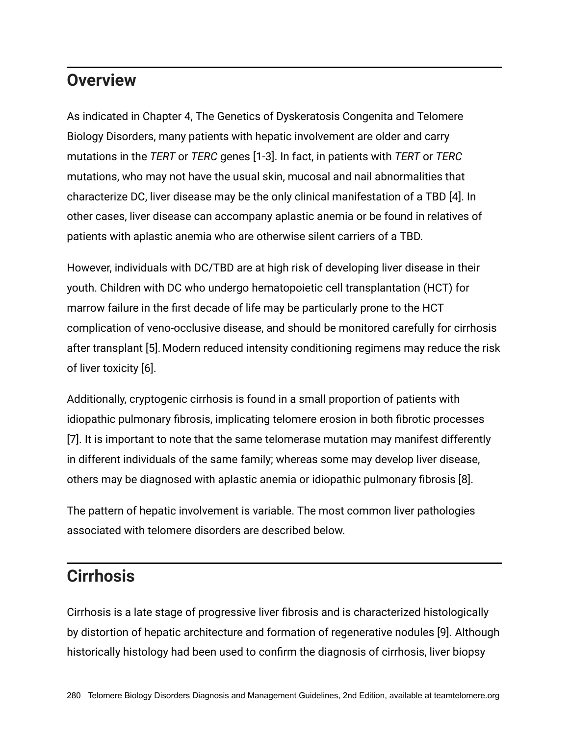#### **Overview**

As indicated in Chapter 4, The Genetics of Dyskeratosis Congenita and Telomere Biology Disorders, many patients with hepatic involvement are older and carry mutations in the *TERT* or *TERC* genes [1-3]. In fact, in patients with *TERT* or *TERC* mutations, who may not have the usual skin, mucosal and nail abnormalities that characterize DC, liver disease may be the only clinical manifestation of a TBD [4]. In other cases, liver disease can accompany aplastic anemia or be found in relatives of patients with aplastic anemia who are otherwise silent carriers of a TBD.

However, individuals with DC/TBD are at high risk of developing liver disease in their youth. Children with DC who undergo hematopoietic cell transplantation (HCT) for marrow failure in the first decade of life may be particularly prone to the HCT complication of veno-occlusive disease, and should be monitored carefully for cirrhosis after transplant [5]. Modern reduced intensity conditioning regimens may reduce the risk of liver toxicity [6].

Additionally, cryptogenic cirrhosis is found in a small proportion of patients with idiopathic pulmonary fibrosis, implicating telomere erosion in both fibrotic processes [7]. It is important to note that the same telomerase mutation may manifest differently in different individuals of the same family; whereas some may develop liver disease, others may be diagnosed with aplastic anemia or idiopathic pulmonary fibrosis [8].

The pattern of hepatic involvement is variable. The most common liver pathologies associated with telomere disorders are described below.

#### **Cirrhosis**

Cirrhosis is a late stage of progressive liver fibrosis and is characterized histologically by distortion of hepatic architecture and formation of regenerative nodules [9]. Although historically histology had been used to confirm the diagnosis of cirrhosis, liver biopsy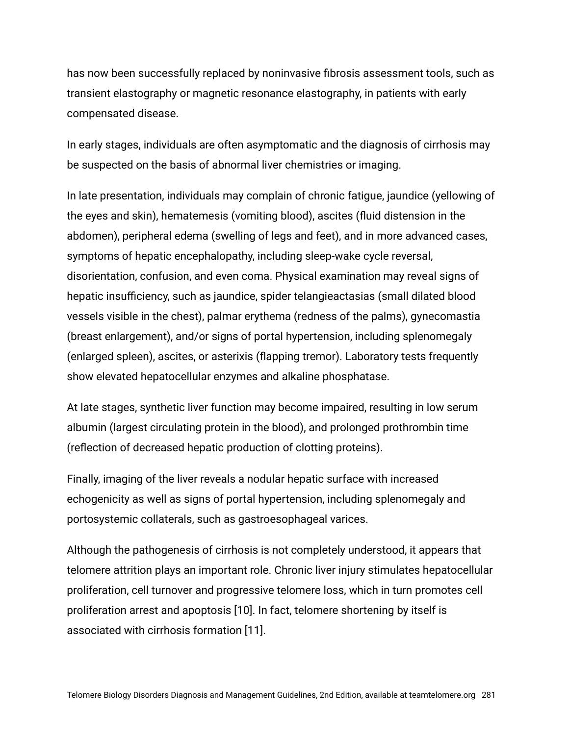has now been successfully replaced by noninvasive fibrosis assessment tools, such as transient elastography or magnetic resonance elastography, in patients with early compensated disease.

In early stages, individuals are often asymptomatic and the diagnosis of cirrhosis may be suspected on the basis of abnormal liver chemistries or imaging.

In late presentation, individuals may complain of chronic fatigue, jaundice (yellowing of the eyes and skin), hematemesis (vomiting blood), ascites (fluid distension in the abdomen), peripheral edema (swelling of legs and feet), and in more advanced cases, symptoms of hepatic encephalopathy, including sleep-wake cycle reversal, disorientation, confusion, and even coma. Physical examination may reveal signs of hepatic insufficiency, such as jaundice, spider telangieactasias (small dilated blood vessels visible in the chest), palmar erythema (redness of the palms), gynecomastia (breast enlargement), and/or signs of portal hypertension, including splenomegaly (enlarged spleen), ascites, or asterixis (flapping tremor). Laboratory tests frequently show elevated hepatocellular enzymes and alkaline phosphatase.

At late stages, synthetic liver function may become impaired, resulting in low serum albumin (largest circulating protein in the blood), and prolonged prothrombin time (reflection of decreased hepatic production of clotting proteins).

Finally, imaging of the liver reveals a nodular hepatic surface with increased echogenicity as well as signs of portal hypertension, including splenomegaly and portosystemic collaterals, such as gastroesophageal varices.

Although the pathogenesis of cirrhosis is not completely understood, it appears that telomere attrition plays an important role. Chronic liver injury stimulates hepatocellular proliferation, cell turnover and progressive telomere loss, which in turn promotes cell proliferation arrest and apoptosis [10]. In fact, telomere shortening by itself is associated with cirrhosis formation [11].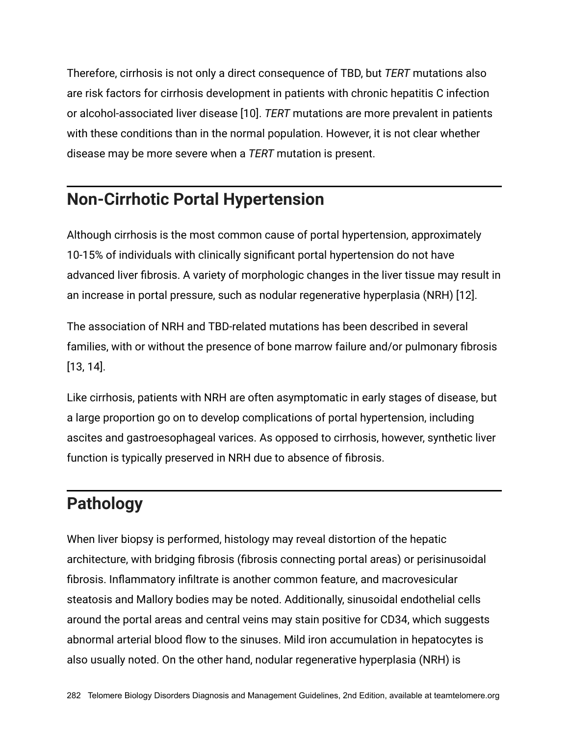Therefore, cirrhosis is not only a direct consequence of TBD, but *TERT* mutations also are risk factors for cirrhosis development in patients with chronic hepatitis C infection or alcohol-associated liver disease [10]. *TERT* mutations are more prevalent in patients with these conditions than in the normal population. However, it is not clear whether disease may be more severe when a *TERT* mutation is present.

# **Non-Cirrhotic Portal Hypertension**

Although cirrhosis is the most common cause of portal hypertension, approximately 10-15% of individuals with clinically significant portal hypertension do not have advanced liver fibrosis. A variety of morphologic changes in the liver tissue may result in an increase in portal pressure, such as nodular regenerative hyperplasia (NRH) [12].

The association of NRH and TBD-related mutations has been described in several families, with or without the presence of bone marrow failure and/or pulmonary fibrosis [13, 14].

Like cirrhosis, patients with NRH are often asymptomatic in early stages of disease, but a large proportion go on to develop complications of portal hypertension, including ascites and gastroesophageal varices. As opposed to cirrhosis, however, synthetic liver function is typically preserved in NRH due to absence of fibrosis.

# **Pathology**

When liver biopsy is performed, histology may reveal distortion of the hepatic architecture, with bridging fibrosis (fibrosis connecting portal areas) or perisinusoidal fibrosis. Inflammatory infiltrate is another common feature, and macrovesicular steatosis and Mallory bodies may be noted. Additionally, sinusoidal endothelial cells around the portal areas and central veins may stain positive for CD34, which suggests abnormal arterial blood flow to the sinuses. Mild iron accumulation in hepatocytes is also usually noted. On the other hand, nodular regenerative hyperplasia (NRH) is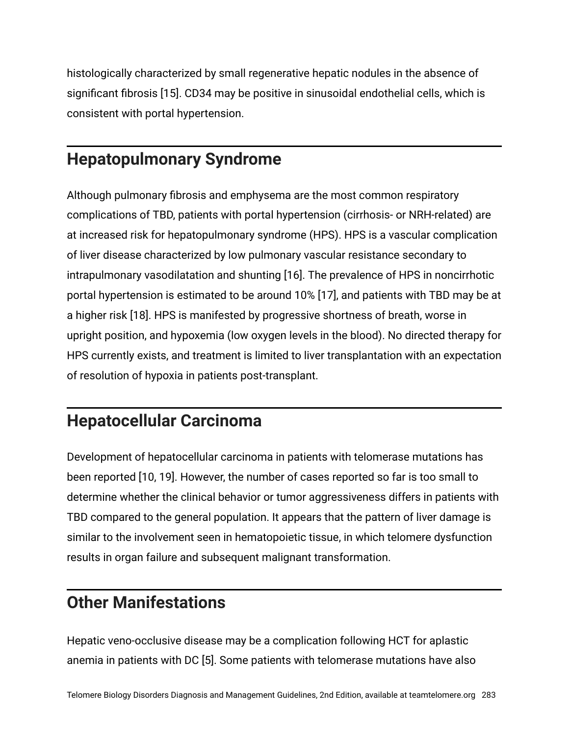histologically characterized by small regenerative hepatic nodules in the absence of significant fibrosis [15]. CD34 may be positive in sinusoidal endothelial cells, which is consistent with portal hypertension.

#### **Hepatopulmonary Syndrome**

Although pulmonary fibrosis and emphysema are the most common respiratory complications of TBD, patients with portal hypertension (cirrhosis- or NRH-related) are at increased risk for hepatopulmonary syndrome (HPS). HPS is a vascular complication of liver disease characterized by low pulmonary vascular resistance secondary to intrapulmonary vasodilatation and shunting [16]. The prevalence of HPS in noncirrhotic portal hypertension is estimated to be around 10% [17], and patients with TBD may be at a higher risk [18]. HPS is manifested by progressive shortness of breath, worse in upright position, and hypoxemia (low oxygen levels in the blood). No directed therapy for HPS currently exists, and treatment is limited to liver transplantation with an expectation of resolution of hypoxia in patients post-transplant.

# **Hepatocellular Carcinoma**

Development of hepatocellular carcinoma in patients with telomerase mutations has been reported [10, 19]. However, the number of cases reported so far is too small to determine whether the clinical behavior or tumor aggressiveness differs in patients with TBD compared to the general population. It appears that the pattern of liver damage is similar to the involvement seen in hematopoietic tissue, in which telomere dysfunction results in organ failure and subsequent malignant transformation.

# **Other Manifestations**

Hepatic veno-occlusive disease may be a complication following HCT for aplastic anemia in patients with DC [5]. Some patients with telomerase mutations have also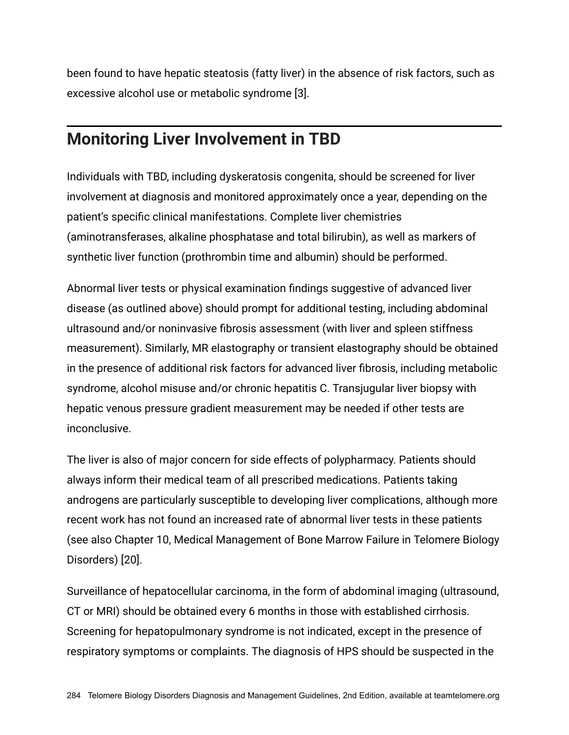been found to have hepatic steatosis (fatty liver) in the absence of risk factors, such as excessive alcohol use or metabolic syndrome [3].

# **Monitoring Liver Involvement in TBD**

Individuals with TBD, including dyskeratosis congenita, should be screened for liver involvement at diagnosis and monitored approximately once a year, depending on the patient's specific clinical manifestations. Complete liver chemistries (aminotransferases, alkaline phosphatase and total bilirubin), as well as markers of synthetic liver function (prothrombin time and albumin) should be performed.

Abnormal liver tests or physical examination findings suggestive of advanced liver disease (as outlined above) should prompt for additional testing, including abdominal ultrasound and/or noninvasive fibrosis assessment (with liver and spleen stiffness measurement). Similarly, MR elastography or transient elastography should be obtained in the presence of additional risk factors for advanced liver fibrosis, including metabolic syndrome, alcohol misuse and/or chronic hepatitis C. Transjugular liver biopsy with hepatic venous pressure gradient measurement may be needed if other tests are inconclusive.

The liver is also of major concern for side effects of polypharmacy. Patients should always inform their medical team of all prescribed medications. Patients taking androgens are particularly susceptible to developing liver complications, although more recent work has not found an increased rate of abnormal liver tests in these patients (see also Chapter 10, Medical Management of Bone Marrow Failure in Telomere Biology Disorders) [20].

Surveillance of hepatocellular carcinoma, in the form of abdominal imaging (ultrasound, CT or MRI) should be obtained every 6 months in those with established cirrhosis. Screening for hepatopulmonary syndrome is not indicated, except in the presence of respiratory symptoms or complaints. The diagnosis of HPS should be suspected in the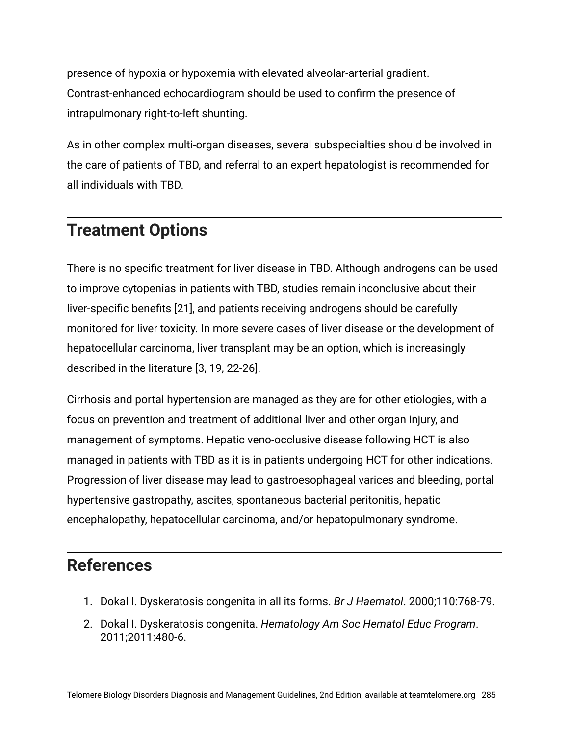presence of hypoxia or hypoxemia with elevated alveolar-arterial gradient. Contrast-enhanced echocardiogram should be used to confirm the presence of intrapulmonary right-to-left shunting.

As in other complex multi-organ diseases, several subspecialties should be involved in the care of patients of TBD, and referral to an expert hepatologist is recommended for all individuals with TBD.

# **Treatment Options**

There is no specific treatment for liver disease in TBD. Although androgens can be used to improve cytopenias in patients with TBD, studies remain inconclusive about their liver-specific benefits [21], and patients receiving androgens should be carefully monitored for liver toxicity. In more severe cases of liver disease or the development of hepatocellular carcinoma, liver transplant may be an option, which is increasingly described in the literature [3, 19, 22-26].

Cirrhosis and portal hypertension are managed as they are for other etiologies, with a focus on prevention and treatment of additional liver and other organ injury, and management of symptoms. Hepatic veno-occlusive disease following HCT is also managed in patients with TBD as it is in patients undergoing HCT for other indications. Progression of liver disease may lead to gastroesophageal varices and bleeding, portal hypertensive gastropathy, ascites, spontaneous bacterial peritonitis, hepatic encephalopathy, hepatocellular carcinoma, and/or hepatopulmonary syndrome.

#### **References**

- 1. Dokal I. Dyskeratosis congenita in all its forms. *Br J Haematol*. 2000;110:768-79.
- 2. Dokal I. Dyskeratosis congenita. *Hematology Am Soc Hematol Educ Program*. 2011;2011:480-6.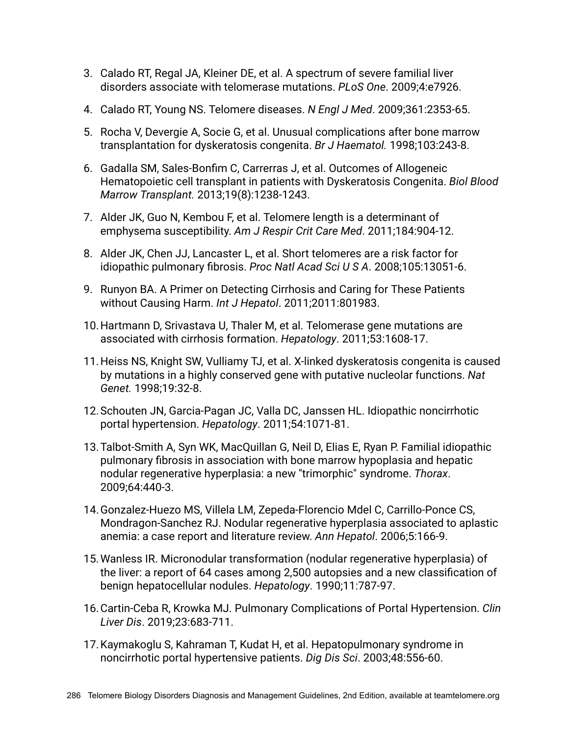- 3. Calado RT, Regal JA, Kleiner DE, et al. A spectrum of severe familial liver disorders associate with telomerase mutations. *PLoS One*. 2009;4:e7926.
- 4. Calado RT, Young NS. Telomere diseases. *N Engl J Med*. 2009;361:2353-65.
- 5. Rocha V, Devergie A, Socie G, et al. Unusual complications after bone marrow transplantation for dyskeratosis congenita. *Br J Haematol.* 1998;103:243-8.
- 6. Gadalla SM, Sales-Bonfim C, Carrerras J, et al. Outcomes of Allogeneic Hematopoietic cell transplant in patients with Dyskeratosis Congenita. *Biol Blood Marrow Transplant.* 2013;19(8):1238-1243.
- 7. Alder JK, Guo N, Kembou F, et al. Telomere length is a determinant of emphysema susceptibility. *Am J Respir Crit Care Med*. 2011;184:904-12.
- 8. Alder JK, Chen JJ, Lancaster L, et al. Short telomeres are a risk factor for idiopathic pulmonary fibrosis. *Proc Natl Acad Sci U S A*. 2008;105:13051-6.
- 9. Runyon BA. A Primer on Detecting Cirrhosis and Caring for These Patients without Causing Harm. *Int J Hepatol*. 2011;2011:801983.
- 10.Hartmann D, Srivastava U, Thaler M, et al. Telomerase gene mutations are associated with cirrhosis formation. *Hepatology*. 2011;53:1608-17.
- 11.Heiss NS, Knight SW, Vulliamy TJ, et al. X-linked dyskeratosis congenita is caused by mutations in a highly conserved gene with putative nucleolar functions. *Nat Genet.* 1998;19:32-8.
- 12.Schouten JN, Garcia-Pagan JC, Valla DC, Janssen HL. Idiopathic noncirrhotic portal hypertension. *Hepatology*. 2011;54:1071-81.
- 13.Talbot-Smith A, Syn WK, MacQuillan G, Neil D, Elias E, Ryan P. Familial idiopathic pulmonary fibrosis in association with bone marrow hypoplasia and hepatic nodular regenerative hyperplasia: a new "trimorphic" syndrome. *Thorax*. 2009;64:440-3.
- 14.Gonzalez-Huezo MS, Villela LM, Zepeda-Florencio Mdel C, Carrillo-Ponce CS, Mondragon-Sanchez RJ. Nodular regenerative hyperplasia associated to aplastic anemia: a case report and literature review. *Ann Hepatol*. 2006;5:166-9.
- 15.Wanless IR. Micronodular transformation (nodular regenerative hyperplasia) of the liver: a report of 64 cases among 2,500 autopsies and a new classification of benign hepatocellular nodules. *Hepatology*. 1990;11:787-97.
- 16.Cartin-Ceba R, Krowka MJ. Pulmonary Complications of Portal Hypertension. *Clin Liver Dis*. 2019;23:683-711.
- 17.Kaymakoglu S, Kahraman T, Kudat H, et al. Hepatopulmonary syndrome in noncirrhotic portal hypertensive patients. *Dig Dis Sci*. 2003;48:556-60.